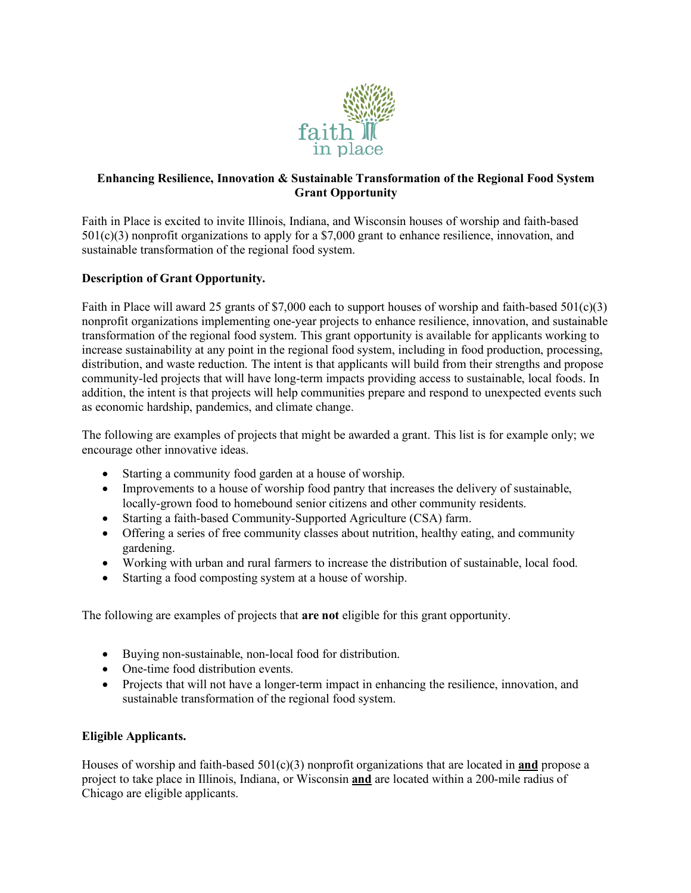

# **Enhancing Resilience, Innovation & Sustainable Transformation of the Regional Food System Grant Opportunity**

Faith in Place is excited to invite Illinois, Indiana, and Wisconsin houses of worship and faith-based 501(c)(3) nonprofit organizations to apply for a \$7,000 grant to enhance resilience, innovation, and sustainable transformation of the regional food system.

# **Description of Grant Opportunity.**

Faith in Place will award 25 grants of \$7,000 each to support houses of worship and faith-based  $501(c)(3)$ nonprofit organizations implementing one-year projects to enhance resilience, innovation, and sustainable transformation of the regional food system. This grant opportunity is available for applicants working to increase sustainability at any point in the regional food system, including in food production, processing, distribution, and waste reduction. The intent is that applicants will build from their strengths and propose community-led projects that will have long-term impacts providing access to sustainable, local foods. In addition, the intent is that projects will help communities prepare and respond to unexpected events such as economic hardship, pandemics, and climate change.

The following are examples of projects that might be awarded a grant. This list is for example only; we encourage other innovative ideas.

- Starting a community food garden at a house of worship.
- Improvements to a house of worship food pantry that increases the delivery of sustainable, locally-grown food to homebound senior citizens and other community residents.
- Starting a faith-based Community-Supported Agriculture (CSA) farm.
- Offering a series of free community classes about nutrition, healthy eating, and community gardening.
- Working with urban and rural farmers to increase the distribution of sustainable, local food.
- Starting a food composting system at a house of worship.

The following are examples of projects that **are not** eligible for this grant opportunity.

- Buying non-sustainable, non-local food for distribution.
- One-time food distribution events.
- Projects that will not have a longer-term impact in enhancing the resilience, innovation, and sustainable transformation of the regional food system.

# **Eligible Applicants.**

Houses of worship and faith-based 501(c)(3) nonprofit organizations that are located in **and** propose a project to take place in Illinois, Indiana, or Wisconsin **and** are located within a 200-mile radius of Chicago are eligible applicants.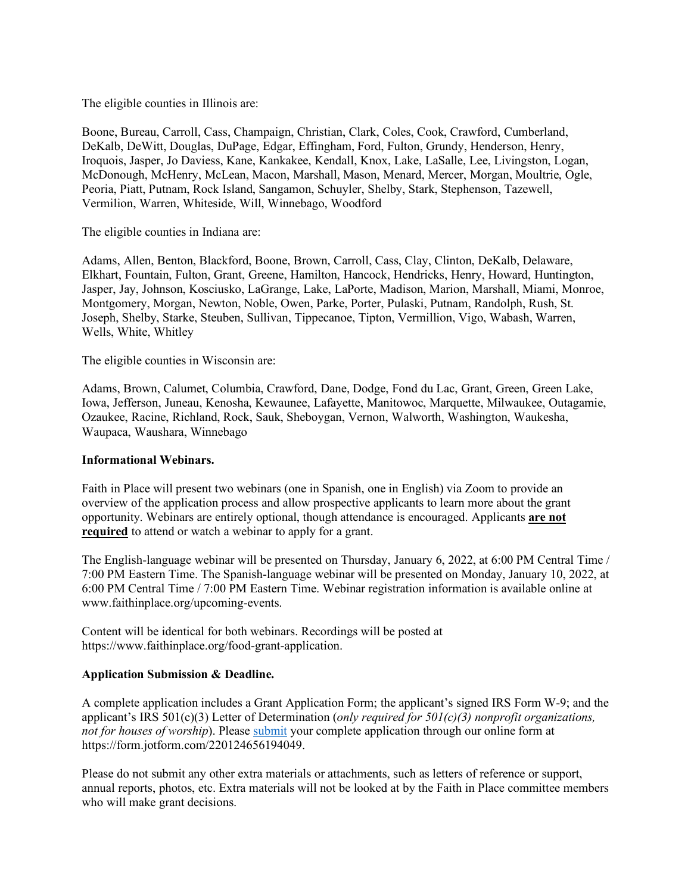The eligible counties in Illinois are:

Boone, Bureau, Carroll, Cass, Champaign, Christian, Clark, Coles, Cook, Crawford, Cumberland, DeKalb, DeWitt, Douglas, DuPage, Edgar, Effingham, Ford, Fulton, Grundy, Henderson, Henry, Iroquois, Jasper, Jo Daviess, Kane, Kankakee, Kendall, Knox, Lake, LaSalle, Lee, Livingston, Logan, McDonough, McHenry, McLean, Macon, Marshall, Mason, Menard, Mercer, Morgan, Moultrie, Ogle, Peoria, Piatt, Putnam, Rock Island, Sangamon, Schuyler, Shelby, Stark, Stephenson, Tazewell, Vermilion, Warren, Whiteside, Will, Winnebago, Woodford

The eligible counties in Indiana are:

Adams, Allen, Benton, Blackford, Boone, Brown, Carroll, Cass, Clay, Clinton, DeKalb, Delaware, Elkhart, Fountain, Fulton, Grant, Greene, Hamilton, Hancock, Hendricks, Henry, Howard, Huntington, Jasper, Jay, Johnson, Kosciusko, LaGrange, Lake, LaPorte, Madison, Marion, Marshall, Miami, Monroe, Montgomery, Morgan, Newton, Noble, Owen, Parke, Porter, Pulaski, Putnam, Randolph, Rush, St. Joseph, Shelby, Starke, Steuben, Sullivan, Tippecanoe, Tipton, Vermillion, Vigo, Wabash, Warren, Wells, White, Whitley

The eligible counties in Wisconsin are:

Adams, Brown, Calumet, Columbia, Crawford, Dane, Dodge, Fond du Lac, Grant, Green, Green Lake, Iowa, Jefferson, Juneau, Kenosha, Kewaunee, Lafayette, Manitowoc, Marquette, Milwaukee, Outagamie, Ozaukee, Racine, Richland, Rock, Sauk, Sheboygan, Vernon, Walworth, Washington, Waukesha, Waupaca, Waushara, Winnebago

#### **Informational Webinars.**

Faith in Place will present two webinars (one in Spanish, one in English) via Zoom to provide an overview of the application process and allow prospective applicants to learn more about the grant opportunity. Webinars are entirely optional, though attendance is encouraged. Applicants **are not required** to attend or watch a webinar to apply for a grant.

The English-language webinar will be presented on Thursday, January 6, 2022, at 6:00 PM Central Time / 7:00 PM Eastern Time. The Spanish-language webinar will be presented on Monday, January 10, 2022, at 6:00 PM Central Time / 7:00 PM Eastern Time. Webinar registration information is available online at www.faithinplace.org/upcoming-events.

Content will be identical for both webinars. Recordings will be posted at https://www.faithinplace.org/food-grant-application.

### **Application Submission & Deadline.**

A complete application includes a Grant Application Form; the applicant's signed IRS Form W-9; and the applicant's IRS 501(c)(3) Letter of Determination (*only required for 501(c)(3) nonprofit organizations, not for houses of worship*). Please **submit** your complete application through our online form at https://form.jotform.com/220124656194049.

Please do not submit any other extra materials or attachments, such as letters of reference or support, annual reports, photos, etc. Extra materials will not be looked at by the Faith in Place committee members who will make grant decisions.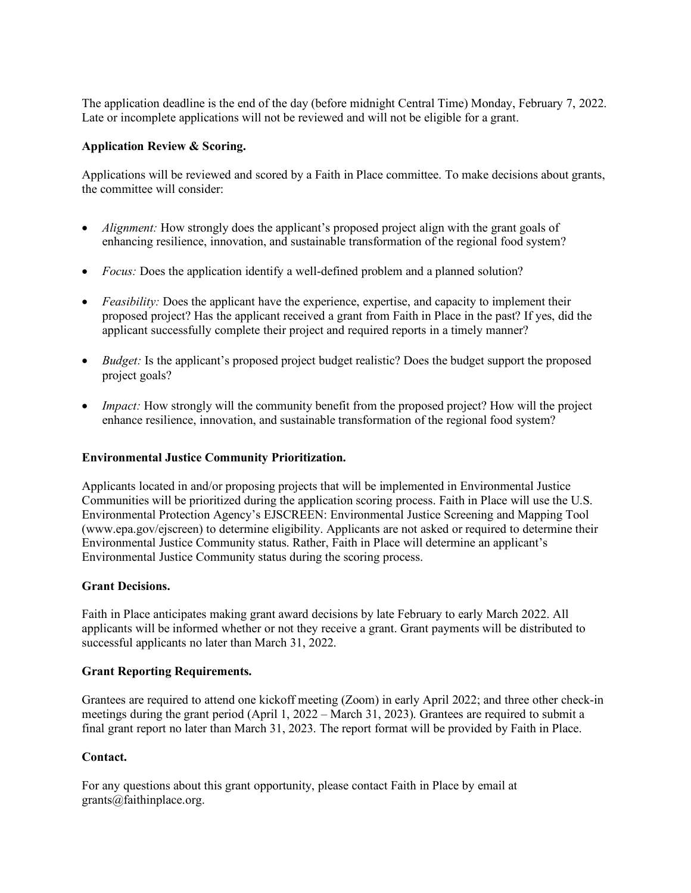The application deadline is the end of the day (before midnight Central Time) Monday, February 7, 2022. Late or incomplete applications will not be reviewed and will not be eligible for a grant.

## **Application Review & Scoring.**

Applications will be reviewed and scored by a Faith in Place committee. To make decisions about grants, the committee will consider:

- *Alignment:* How strongly does the applicant's proposed project align with the grant goals of enhancing resilience, innovation, and sustainable transformation of the regional food system?
- *Focus:* Does the application identify a well-defined problem and a planned solution?
- *Feasibility:* Does the applicant have the experience, expertise, and capacity to implement their proposed project? Has the applicant received a grant from Faith in Place in the past? If yes, did the applicant successfully complete their project and required reports in a timely manner?
- *Budget:* Is the applicant's proposed project budget realistic? Does the budget support the proposed project goals?
- *Impact:* How strongly will the community benefit from the proposed project? How will the project enhance resilience, innovation, and sustainable transformation of the regional food system?

### **Environmental Justice Community Prioritization.**

Applicants located in and/or proposing projects that will be implemented in Environmental Justice Communities will be prioritized during the application scoring process. Faith in Place will use the U.S. Environmental Protection Agency's EJSCREEN: Environmental Justice Screening and Mapping Tool (www.epa.gov/ejscreen) to determine eligibility. Applicants are not asked or required to determine their Environmental Justice Community status. Rather, Faith in Place will determine an applicant's Environmental Justice Community status during the scoring process.

### **Grant Decisions.**

Faith in Place anticipates making grant award decisions by late February to early March 2022. All applicants will be informed whether or not they receive a grant. Grant payments will be distributed to successful applicants no later than March 31, 2022.

### **Grant Reporting Requirements.**

Grantees are required to attend one kickoff meeting (Zoom) in early April 2022; and three other check-in meetings during the grant period (April 1, 2022 – March 31, 2023). Grantees are required to submit a final grant report no later than March 31, 2023. The report format will be provided by Faith in Place.

# **Contact.**

For any questions about this grant opportunity, please contact Faith in Place by email at grants@faithinplace.org.